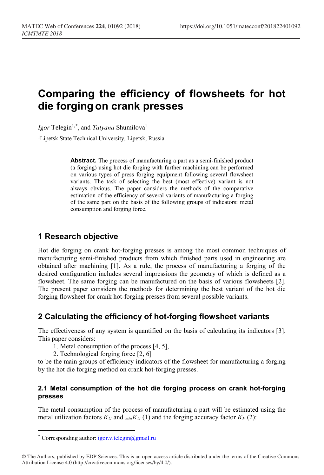# **Comparing the efficiency of flowsheets for hot die forging on crank presses**

Igor Telegin<sup>1,[\\*](#page-0-0)</sup>, and *Tatyana* Shumilova<sup>1</sup>

<sup>1</sup>Lipetsk State Technical University, Lipetsk, Russia

**Abstract.** The process of manufacturing a part as a semi-finished product (a forging) using hot die forging with further machining can be performed on various types of press forging equipment following several flowsheet variants. The task of selecting the best (most effective) variant is not always obvious. The paper considers the methods of the comparative estimation of the efficiency of several variants of manufacturing a forging of the same part on the basis of the following groups of indicators: metal consumption and forging force.

# **1 Research objective**

Hot die forging on crank hot-forging presses is among the most common techniques of manufacturing semi-finished products from which finished parts used in engineering are obtained after machining [1]. As a rule, the process of manufacturing a forging of the desired configuration includes several impressions the geometry of which is defined as a flowsheet. The same forging can be manufactured on the basis of various flowsheets [2]. The present paper considers the methods for determining the best variant of the hot die forging flowsheet for crank hot-forging presses from several possible variants.

# **2 Calculating the efficiency of hot-forging flowsheet variants**

The effectiveness of any system is quantified on the basis of calculating its indicators [3]. This paper considers:

- 1. Metal consumption of the process [4, 5],
- 2. Technological forging force [2, 6]

to be the main groups of efficiency indicators of the flowsheet for manufacturing a forging by the hot die forging method on crank hot-forging presses.

### **2.1 Metal consumption of the hot die forging process on crank hot-forging presses**

The metal consumption of the process of manufacturing a part will be estimated using the metal utilization factors  $K_U$  and  $_{min}K_U$  (1) and the forging accuracy factor  $K_F$  (2):

 $\overline{a}$ 

Corresponding author: igor.v.telegin@gmail.ru

<span id="page-0-0"></span><sup>©</sup> The Authors, published by EDP Sciences. This is an open access article distributed under the terms of the Creative Commons Attribution License 4.0 (http://creativecommons.org/licenses/by/4.0/).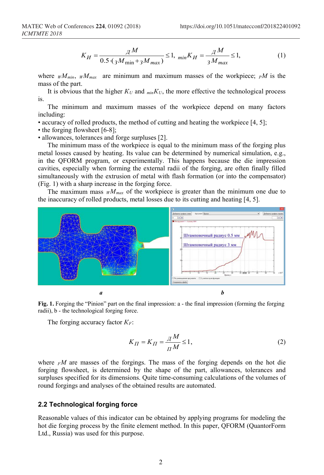$$
K_H = \frac{\mu}{0.5 \cdot (3M_{\text{min}} + 3M_{\text{max}})} \le 1, \ \min_{M} K_H = \frac{\mu}{3M_{\text{max}}} \le 1,\tag{1}
$$

where  $wM_{min}$ ,  $wM_{max}$  are minimum and maximum masses of the workpiece; *PM* is the mass of the part.

It is obvious that the higher  $K_U$  and  $_{min}K_U$ , the more effective the technological process is.

The minimum and maximum masses of the workpiece depend on many factors including:

• accuracy of rolled products, the method of cutting and heating the workpiece [4, 5];

• the forging flowsheet [6-8];

• allowances, tolerances and forge surpluses [2].

The minimum mass of the workpiece is equal to the minimum mass of the forging plus metal losses caused by heating. Its value can be determined by numerical simulation, e.g., in the QFORM program, or experimentally. This happens because the die impression cavities, especially when forming the external radii of the forging, are often finally filled simultaneously with the extrusion of metal with flash formation (or into the compensator) (Fig. 1) with a sharp increase in the forging force.

The maximum mass  $wM_{max}$  of the workpiece is greater than the minimum one due to the inaccuracy of rolled products, metal losses due to its cutting and heating [4, 5].



**Fig. 1.** Forging the "Pinion" part on the final impression: a - the final impression (forming the forging radii), b - the technological forging force.

The forging accuracy factor *КF*:

$$
K_{\Pi} = K_{\Pi} = \frac{\mu}{\pi M} \le 1,\tag{2}
$$

where  $F/M$  are masses of the forgings. The mass of the forging depends on the hot die forging flowsheet, is determined by the shape of the part, allowances, tolerances and surpluses specified for its dimensions. Quite time-consuming calculations of the volumes of round forgings and analyses of the obtained results are automated.

#### **2.2 Technological forging force**

Reasonable values of this indicator can be obtained by applying programs for modeling the hot die forging process by the finite element method. In this paper, QFORM (QuantorForm Ltd., Russia) was used for this purpose.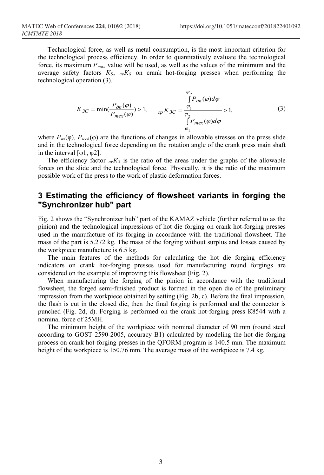Technological force, as well as metal consumption, is the most important criterion for the technological process efficiency. In order to quantitatively evaluate the technological force, its maximum *Pmax* value will be used, as well as the values of the minimum and the average safety factors *КS*, *avК<sup>S</sup>* on crank hot-forging presses when performing the technological operation (3).

$$
K_{3C} = \min(\frac{P_{\partial n}(\varphi)}{P_{\text{max}}(\varphi)}) > 1, \qquad c_p K_{3C} = \frac{\varphi_1}{\varphi_2} > 1, \qquad (3)
$$

$$
\frac{\int_{\varphi_1}^{\varphi_2} P_{\text{max}}(\varphi) d\varphi}{\int_{\varphi_1}^{\varphi_2} P_{\text{max}}(\varphi) d\varphi}
$$

where  $P_{as}(\varphi)$ ,  $P_{tech}(\varphi)$  are the functions of changes in allowable stresses on the press slide and in the technological force depending on the rotation angle of the crank press main shaft in the interval  $\lceil \varphi 1, \varphi 2 \rceil$ .

The efficiency factor  $a_V K_S$  is the ratio of the areas under the graphs of the allowable forces on the slide and the technological force. Physically, it is the ratio of the maximum possible work of the press to the work of plastic deformation forces.

# **3 Estimating the efficiency of flowsheet variants in forging the "Synchronizer hub" part**

Fig. 2 shows the "Synchronizer hub" part of the KAMAZ vehicle (further referred to as the pinion) and the technological impressions of hot die forging on crank hot-forging presses used in the manufacture of its forging in accordance with the traditional flowsheet. The mass of the part is 5.272 kg. The mass of the forging without surplus and losses caused by the workpiece manufacture is 6.5 kg.

The main features of the methods for calculating the hot die forging efficiency indicators on crank hot-forging presses used for manufacturing round forgings are considered on the example of improving this flowsheet (Fig. 2).

When manufacturing the forging of the pinion in accordance with the traditional flowsheet, the forged semi-finished product is formed in the open die of the preliminary impression from the workpiece obtained by setting (Fig. 2b, c). Before the final impression, the flash is cut in the closed die, then the final forging is performed and the connector is punched (Fig. 2d, d). Forging is performed on the crank hot-forging press К8544 with a nominal force of 25МН.

The minimum height of the workpiece with nominal diameter of 90 mm (round steel according to GOST 2590-2005, accuracy B1) calculated by modeling the hot die forging process on crank hot-forging presses in the QFORM program is 140.5 mm. The maximum height of the workpiece is 150.76 mm. The average mass of the workpiece is 7.4 kg.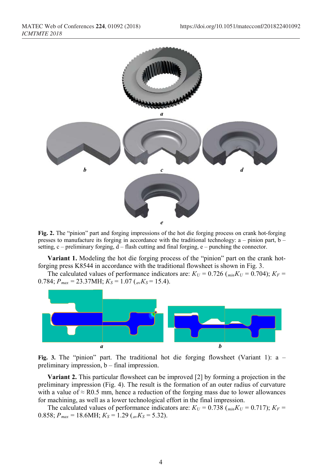

**Fig. 2.** The "pinion" part and forging impressions of the hot die forging process on crank hot-forging presses to manufacture its forging in accordance with the traditional technology:  $a - p$ inion part,  $b - p$ setting,  $c$  – preliminary forging,  $d$  – flash cutting and final forging,  $e$  – punching the connector.

**Variant 1.** Modeling the hot die forging process of the "pinion" part on the crank hotforging press K8544 in accordance with the traditional flowsheet is shown in Fig. 3.

The calculated values of performance indicators are:  $K_U = 0.726$  ( $_{min}K_U = 0.704$ );  $K_F =$ 0.784;  $P_{max} = 23.37 \text{MHz}$ ;  $K_S = 1.07 \text{ (av} K_S = 15.4)$ .



**Fig. 3.** The "pinion" part. The traditional hot die forging flowsheet (Variant 1): a – preliminary impression, b – final impression.

**Variant 2.** This particular flowsheet can be improved [2] by forming a projection in the preliminary impression (Fig. 4). The result is the formation of an outer radius of curvature with a value of  $\approx$  R0.5 mm, hence a reduction of the forging mass due to lower allowances for machining, as well as a lower technological effort in the final impression.

The calculated values of performance indicators are:  $K_U = 0.738$  ( $_{min}K_U = 0.717$ );  $K_F =$ 0.858;  $P_{max} = 18.6 \text{MHz}$ ;  $K_S = 1.29 \frac{a_v K_S}{5.32}$ .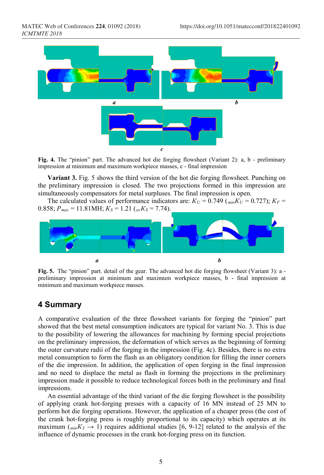

**Fig. 4.** The "pinion" part. The advanced hot die forging flowsheet (Variant 2): a, b - preliminary impression at minimum and maximum workpiece masses, c - final impression

**Variant 3.** Fig. 5 shows the third version of the hot die forging flowsheet. Punching on the preliminary impression is closed. The two projections formed in this impression are simultaneously compensators for metal surpluses. The final impression is open.

The calculated values of performance indicators are:  $K_U = 0.749$  ( $_{min}K_U = 0.727$ );  $K_F =$ 0.858;  $P_{max} = 11.81 \text{MHz}$ ;  $K_S = 1.21$  ( $_{av}K_S = 7.74$ ).



**Fig. 5.** The "pinion" part. detail of the gear. The advanced hot die forging flowsheet (Variant 3): a preliminary impression at minimum and maximum workpiece masses, b - final impression at minimum and maximum workpiece masses.

### **4 Summary**

A comparative evaluation of the three flowsheet variants for forging the "pinion" part showed that the best metal consumption indicators are typical for variant No. 3. This is due to the possibility of lowering the allowances for machining by forming special projections on the preliminary impression, the deformation of which serves as the beginning of forming the outer curvature radii of the forging in the impression (Fig. 4c). Besides, there is no extra metal consumption to form the flash as an obligatory condition for filling the inner corners of the die impression. In addition, the application of open forging in the final impression and no need to displace the metal as flash in forming the projections in the preliminary impression made it possible to reduce technological forces both in the preliminary and final impressions.

An essential advantage of the third variant of the die forging flowsheet is the possibility of applying crank hot-forging presses with a capacity of 16 MN instead of 25 MN to perform hot die forging operations. However, the application of a cheaper press (the cost of the crank hot-forging press is roughly proportional to its capacity) which operates at its maximum ( $_{min}K_3 \rightarrow 1$ ) requires additional studies [6, 9-12] related to the analysis of the influence of dynamic processes in the crank hot-forging press on its function.